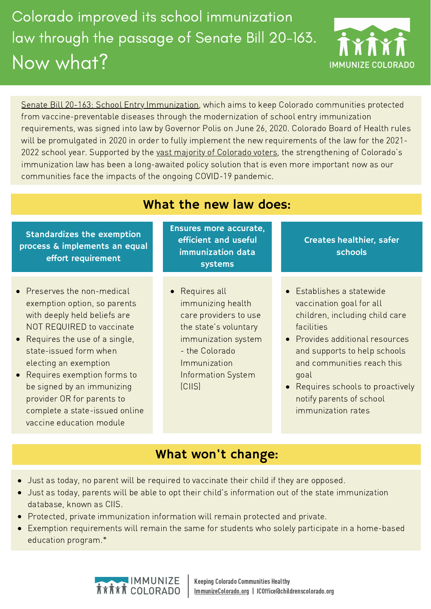# Colorado improved its school immunization law through the passage of Senate Bill 20-163. Now what?



Senate Bill 20-163: School Entry [Immunization,](https://leg.colorado.gov/bills/sb20-163) which aims to keep Colorado communities protected from vaccine-preventable diseases through the modernization of school entry immunization requirements, was signed into law by Governor Polis on June 26, 2020. Colorado Board of Health rules will be promulgated in 2020 in order to fully implement the new requirements of the law for the 2021- 2022 school year. Supported by the vast majority of [Colorado](https://static1.squarespace.com/static/5defd5990c702c1f1ac2e311/t/5ecec93b539e8f12017bc69d/1590610237300/Keating+Research+results%2C+May+2020.pdf) voters, the strengthening of Colorado's immunization law has been a long-awaited policy solution that is even more important now as our communities face the impacts of the ongoing COVID-19 pandemic.

| <b>Standardizes the exemption</b> |
|-----------------------------------|
| process & implements an equal     |
| effort requirement                |

- Preserves the non-medical exemption option, so parents with deeply held beliefs are NOT REQUIRED to vaccinate
- Requires the use of a single, state-issued form when electing an exemption
- Requires exemption forms to be signed by an immunizing provider OR for parents to complete a state-issued online vaccine education module

Ensures more accurate, efficient and useful immunization data systems

What the new law does:

Requires all immunizing health care providers to use the state's voluntary immunization system - the Colorado Immunization Information System (CIIS)

Creates healthier, safer schools

- Establishes a statewide vaccination goal for all children, including child care facilities
- **•** Provides additional resources and supports to help schools and communities reach this goal
- Requires schools to proactively notify parents of school immunization rates

# What won't change:

- Just as today, no parent will be required to vaccinate their child if they are opposed.
- Just as today, parents will be able to opt their child's information out of the state immunization database, known as CIIS.
- Protected, private immunization information will remain protected and private.
- Exemption requirements will remain the same for students who solely participate in a home-based education program.\*



Keeping Colorado Communities Healthy [ImmunizeColorado.org](http://www.immunizecolorado.org/) | ICOffice@childrenscolorado.org